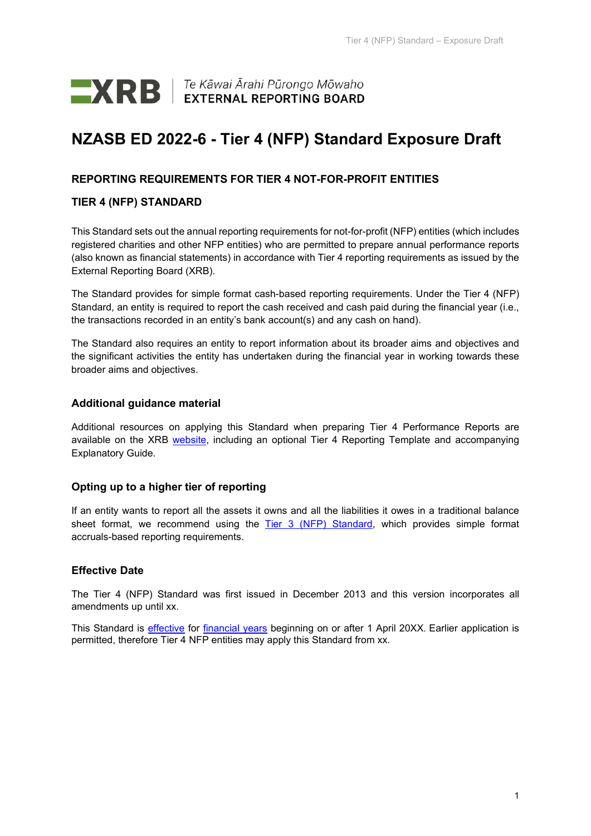

# **NZASB ED 2022-6 - Tier 4 (NFP) Standard Exposure Draft**

## **REPORTING REQUIREMENTS FOR TIER 4 NOT-FOR-PROFIT ENTITIES**

## **TIER 4 (NFP) STANDARD**

This Standard sets out the annual reporting requirements for not-for-profit (NFP) entities (which includes registered charities and other NFP entities) who are permitted to prepare annual performance reports (also known as financial statements) in accordance with Tier 4 reporting requirements as issued by the External Reporting Board (XRB).

The Standard provides for simple format cash-based reporting requirements. Under the Tier 4 (NFP) Standard, an entity is required to report the cash received and cash paid during the financial year (i.e., the transactions recorded in an entity's bank account(s) and any cash on hand).

The Standard also requires an entity to report information about its broader aims and objectives and the significant activities the entity has undertaken during the financial year in working towards these broader aims and objectives.

## **Additional guidance material**

Additional resources on applying this Standard when preparing Tier 4 Performance Reports are available on the XRB [website,](https://www.xrb.govt.nz/standards/accounting-standards/not-for-profit-standards/tier-4/) including an optional Tier 4 Reporting Template and accompanying Explanatory Guide.

## **Opting up to a higher tier of reporting**

If an entity wants to report all the assets it owns and all the liabilities it owes in a traditional balance sheet format, we recommend using the [Tier 3 \(NFP\) Standard,](https://www.xrb.govt.nz/standards/accounting-standards/not-for-profit-standards/tier-3/) which provides simple format accruals-based reporting requirements.

## **Effective Date**

The Tier 4 (NFP) Standard was first issued in December 2013 and this version incorporates all amendments up until xx.

This Standard is *effective* for *financial years* beginning on or after 1 April 20XX. Earlier application is permitted, therefore Tier 4 NFP entities may apply this Standard from xx.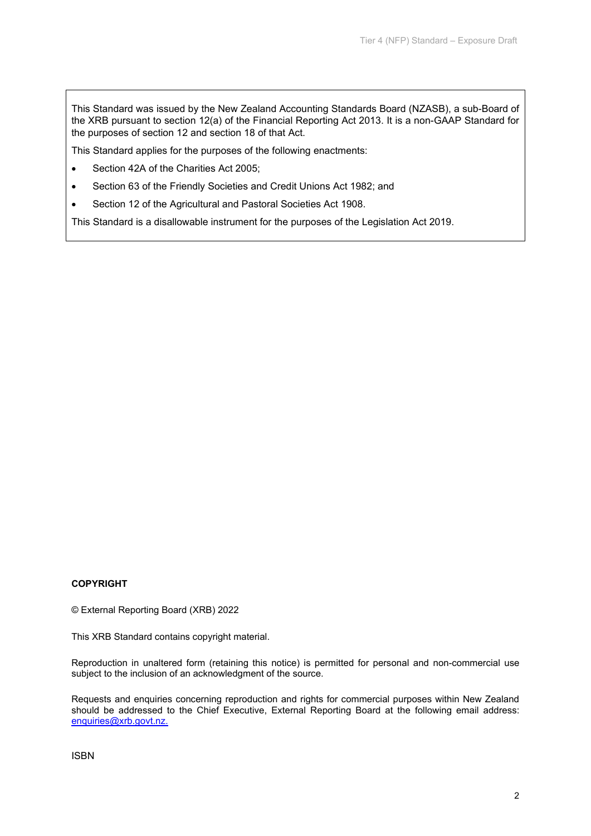This Standard was issued by the New Zealand Accounting Standards Board (NZASB), a sub-Board of the XRB pursuant to section 12(a) of the Financial Reporting Act 2013. It is a non-GAAP Standard for the purposes of section 12 and section 18 of that Act.

This Standard applies for the purposes of the following enactments:

- Section 42A of the Charities Act 2005;
- Section 63 of the Friendly Societies and Credit Unions Act 1982; and
- Section 12 of the Agricultural and Pastoral Societies Act 1908.

This Standard is a disallowable instrument for the purposes of the Legislation Act 2019.

#### **COPYRIGHT**

© External Reporting Board (XRB) 2022

This XRB Standard contains copyright material.

Reproduction in unaltered form (retaining this notice) is permitted for personal and non-commercial use subject to the inclusion of an acknowledgment of the source.

Requests and enquiries concerning reproduction and rights for commercial purposes within New Zealand should be addressed to the Chief Executive, External Reporting Board at the following email address: [enquiries@xrb.govt.nz.](mailto:enquiries@xrb.govt.nz)

ISBN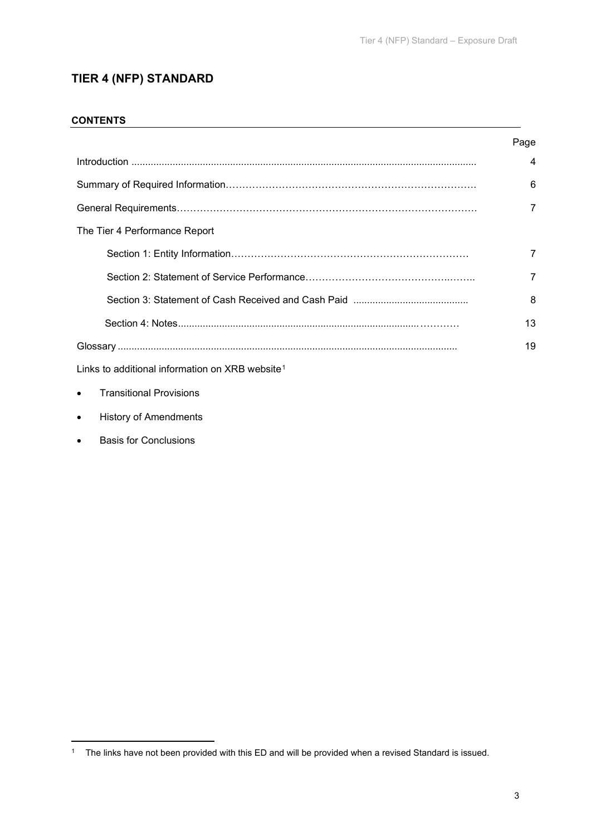## **TIER 4 (NFP) STANDARD**

## **CONTENTS**

|                                                             | Page                    |
|-------------------------------------------------------------|-------------------------|
|                                                             | $\overline{\mathbf{A}}$ |
|                                                             | 6                       |
|                                                             | $\overline{7}$          |
| The Tier 4 Performance Report                               |                         |
|                                                             | 7                       |
|                                                             | $\overline{7}$          |
|                                                             | 8                       |
|                                                             | 13                      |
|                                                             | 19                      |
| Links to additional information on XRB website <sup>1</sup> |                         |

• Transitional Provisions

- History of Amendments
- Basis for Conclusions

<span id="page-2-0"></span><sup>1</sup> The links have not been provided with this ED and will be provided when a revised Standard is issued.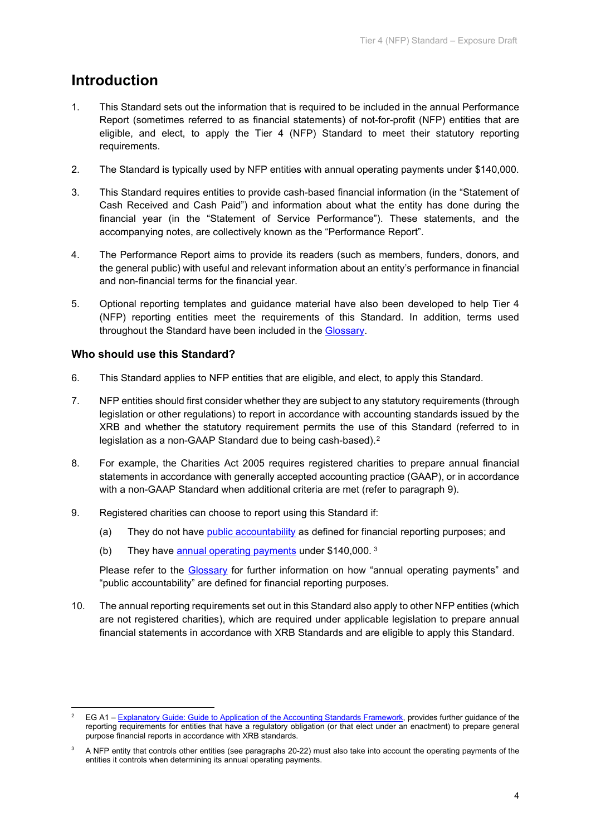# **Introduction**

- 1. This Standard sets out the information that is required to be included in the annual Performance Report (sometimes referred to as financial statements) of not-for-profit (NFP) entities that are eligible, and elect, to apply the Tier 4 (NFP) Standard to meet their statutory reporting requirements.
- 2. The Standard is typically used by NFP entities with annual operating payments under \$140,000.
- 3. This Standard requires entities to provide cash-based financial information (in the "Statement of Cash Received and Cash Paid") and information about what the entity has done during the financial year (in the "Statement of Service Performance"). These statements, and the accompanying notes, are collectively known as the "Performance Report".
- 4. The Performance Report aims to provide its readers (such as members, funders, donors, and the general public) with useful and relevant information about an entity's performance in financial and non-financial terms for the financial year.
- 5. Optional reporting templates and guidance material have also been developed to help Tier 4 (NFP) reporting entities meet the requirements of this Standard. In addition, terms used throughout the Standard have been included in the [Glossary.](#page-18-2)

## **Who should use this Standard?**

- 6. This Standard applies to NFP entities that are eligible, and elect, to apply this Standard.
- 7. NFP entities should first consider whether they are subject to any statutory requirements (through legislation or other regulations) to report in accordance with accounting standards issued by the XRB and whether the statutory requirement permits the use of this Standard (referred to in legislation as a non-GAAP Standard due to being cash-based).<sup>2</sup>
- 8. For example, the Charities Act 2005 requires registered charities to prepare annual financial statements in accordance with generally accepted accounting practice (GAAP), or in accordance with a non-GAAP Standard when additional criteria are met (refer to paragraph 9).
- 9. Registered charities can choose to report using this Standard if:
	- (a) They do not have [public accountability](#page-19-0) as defined for financial reporting purposes; and
	- (b) They have [annual operating payments](#page-18-3) under \$140,000. [3](#page-3-1)

Please refer to the [Glossary](#page-18-2) for further information on how "annual operating payments" and "public accountability" are defined for financial reporting purposes.

10. The annual reporting requirements set out in this Standard also apply to other NFP entities (which are not registered charities), which are required under applicable legislation to prepare annual financial statements in accordance with XRB Standards and are eligible to apply this Standard.

<span id="page-3-0"></span><sup>2</sup> EG A1 – [Explanatory Guide: Guide to Application of the Accounting](https://www.xrb.govt.nz/standards/accounting-standards/public-sector-standards/standards-list/explanatory-guide-eg-a1/) Standards Framework, provides further guidance of the reporting requirements for entities that have a regulatory obligation (or that elect under an enactment) to prepare general purpose financial reports in accordance with XRB standards.

<span id="page-3-1"></span><sup>3</sup> A NFP entity that controls other entities (see paragraphs 20-22) must also take into account the operating payments of the entities it controls when determining its annual operating payments.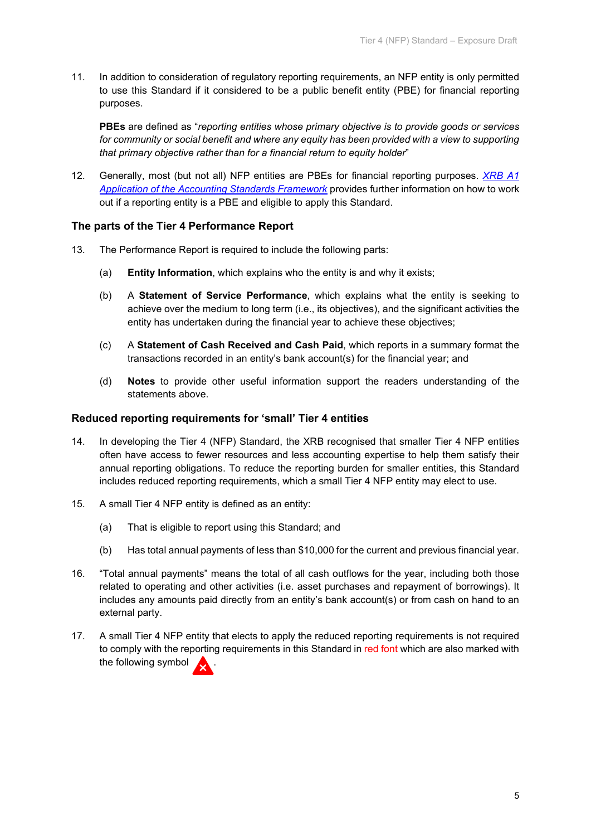11. In addition to consideration of regulatory reporting requirements, an NFP entity is only permitted to use this Standard if it considered to be a public benefit entity (PBE) for financial reporting purposes.

**PBEs** are defined as "*reporting entities whose primary objective is to provide goods or services for community or social benefit and where any equity has been provided with a view to supporting that primary objective rather than for a financial return to equity holder*"

12. Generally, most (but not all) NFP entities are PBEs for financial reporting purposes. *[XRB A1](https://www.xrb.govt.nz/accounting-standards/for-profit-entities/xrb-a1/)  [Application of the Accounting Standards Framework](https://www.xrb.govt.nz/accounting-standards/for-profit-entities/xrb-a1/)* provides further information on how to work out if a reporting entity is a PBE and eligible to apply this Standard.

## **The parts of the Tier 4 Performance Report**

- 13. The Performance Report is required to include the following parts:
	- (a) **Entity Information**, which explains who the entity is and why it exists;
	- (b) A **Statement of Service Performance**, which explains what the entity is seeking to achieve over the medium to long term (i.e., its objectives), and the significant activities the entity has undertaken during the financial year to achieve these objectives;
	- (c) A **Statement of Cash Received and Cash Paid**, which reports in a summary format the transactions recorded in an entity's bank account(s) for the financial year; and
	- (d) **Notes** to provide other useful information support the readers understanding of the statements above.

## **Reduced reporting requirements for 'small' Tier 4 entities**

- 14. In developing the Tier 4 (NFP) Standard, the XRB recognised that smaller Tier 4 NFP entities often have access to fewer resources and less accounting expertise to help them satisfy their annual reporting obligations. To reduce the reporting burden for smaller entities, this Standard includes reduced reporting requirements, which a small Tier 4 NFP entity may elect to use.
- 15. A small Tier 4 NFP entity is defined as an entity:
	- (a) That is eligible to report using this Standard; and
	- (b) Has total annual payments of less than \$10,000 for the current and previous financial year.
- 16. "Total annual payments" means the total of all cash outflows for the year, including both those related to operating and other activities (i.e. asset purchases and repayment of borrowings). It includes any amounts paid directly from an entity's bank account(s) or from cash on hand to an external party.
- 17. A small Tier 4 NFP entity that elects to apply the reduced reporting requirements is not required to comply with the reporting requirements in this Standard in red font which are also marked with the following symbol .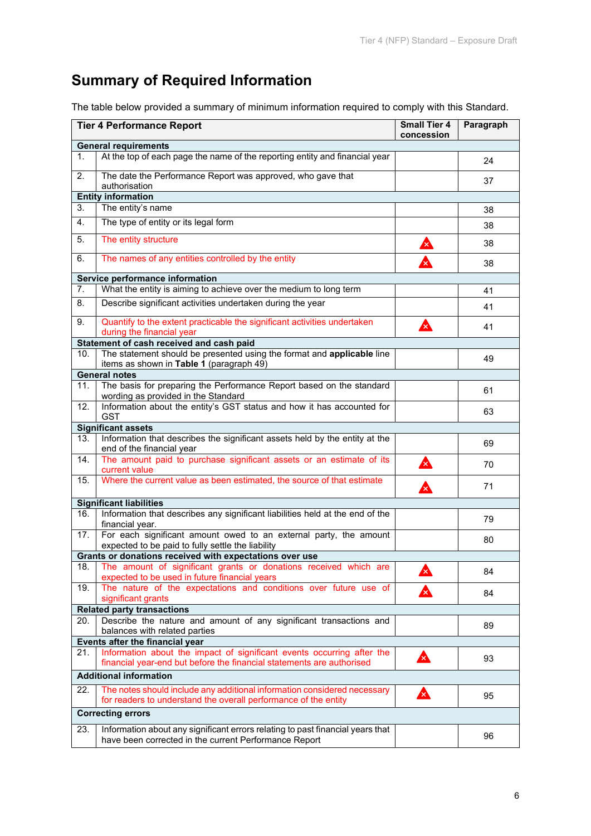# **Summary of Required Information**

The table below provided a summary of minimum information required to comply with this Standard.

|     | <b>Tier 4 Performance Report</b>                                                                                                                |                           | Paragraph |
|-----|-------------------------------------------------------------------------------------------------------------------------------------------------|---------------------------|-----------|
|     | <b>General requirements</b>                                                                                                                     |                           |           |
| 1.  | At the top of each page the name of the reporting entity and financial year                                                                     |                           | 24        |
| 2.  | The date the Performance Report was approved, who gave that<br>authorisation                                                                    |                           | 37        |
|     | <b>Entity information</b>                                                                                                                       |                           |           |
| 3.  | The entity's name                                                                                                                               |                           | 38        |
| 4.  | The type of entity or its legal form                                                                                                            |                           | 38        |
| 5.  | The entity structure                                                                                                                            | $\mathbf{x}$              | 38        |
| 6.  | The names of any entities controlled by the entity                                                                                              |                           | 38        |
|     | Service performance information                                                                                                                 |                           |           |
| 7.  | What the entity is aiming to achieve over the medium to long term                                                                               |                           | 41        |
| 8.  | Describe significant activities undertaken during the year                                                                                      |                           | 41        |
| 9.  | Quantify to the extent practicable the significant activities undertaken                                                                        | $\boldsymbol{\lambda}$    | 41        |
|     | during the financial year<br>Statement of cash received and cash paid                                                                           |                           |           |
| 10. | The statement should be presented using the format and applicable line                                                                          |                           |           |
|     | items as shown in Table 1 (paragraph 49)                                                                                                        |                           | 49        |
|     | <b>General notes</b>                                                                                                                            |                           |           |
| 11. | The basis for preparing the Performance Report based on the standard<br>wording as provided in the Standard                                     |                           | 61        |
| 12. | Information about the entity's GST status and how it has accounted for<br><b>GST</b>                                                            |                           | 63        |
|     | <b>Significant assets</b>                                                                                                                       |                           |           |
| 13. | Information that describes the significant assets held by the entity at the<br>end of the financial year                                        |                           | 69        |
| 14. | The amount paid to purchase significant assets or an estimate of its<br>current value                                                           | A                         | 70        |
| 15. | Where the current value as been estimated, the source of that estimate                                                                          | $\boldsymbol{\mathsf{A}}$ | 71        |
|     |                                                                                                                                                 |                           |           |
|     | <b>Significant liabilities</b>                                                                                                                  |                           |           |
| 16. | Information that describes any significant liabilities held at the end of the<br>financial year.                                                |                           | 79        |
| 17. | For each significant amount owed to an external party, the amount<br>expected to be paid to fully settle the liability                          |                           | 80        |
|     | Grants or donations received with expectations over use                                                                                         |                           |           |
| 18. | The amount of significant grants or donations received which are<br>expected to be used in future financial years                               | 公                         | 84        |
| 19. | The nature of the expectations and conditions over future use of                                                                                | 飍                         | 84        |
|     | significant grants                                                                                                                              |                           |           |
| 20. | <b>Related party transactions</b><br>Describe the nature and amount of any significant transactions and                                         |                           |           |
|     | balances with related parties                                                                                                                   |                           | 89        |
|     | Events after the financial year                                                                                                                 |                           |           |
| 21. | Information about the impact of significant events occurring after the<br>financial year-end but before the financial statements are authorised | 公                         | 93        |
|     | <b>Additional information</b>                                                                                                                   |                           |           |
| 22. | The notes should include any additional information considered necessary                                                                        | 公                         | 95        |
|     | for readers to understand the overall performance of the entity<br><b>Correcting errors</b>                                                     |                           |           |
|     |                                                                                                                                                 |                           |           |
| 23. | Information about any significant errors relating to past financial years that<br>have been corrected in the current Performance Report         |                           | 96        |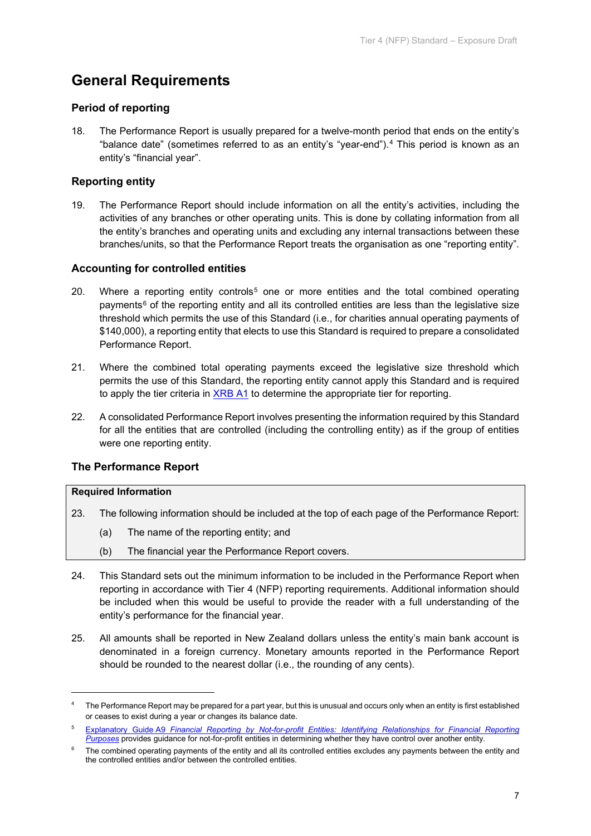# **General Requirements**

## **Period of reporting**

18. The Performance Report is usually prepared for a twelve-month period that ends on the entity's "balance date" (sometimes referred to as an entity's "year-end").[4](#page-6-0) This period is known as an entity's "financial year".

## **Reporting entity**

19. The Performance Report should include information on all the entity's activities, including the activities of any branches or other operating units. This is done by collating information from all the entity's branches and operating units and excluding any internal transactions between these branches/units, so that the Performance Report treats the organisation as one "reporting entity".

## **Accounting for controlled entities**

- 20. Where a reporting entity controls<sup>[5](#page-6-1)</sup> one or more entities and the total combined operating payments<sup>[6](#page-6-2)</sup> of the reporting entity and all its controlled entities are less than the legislative size threshold which permits the use of this Standard (i.e., for charities annual operating payments of \$140,000), a reporting entity that elects to use this Standard is required to prepare a consolidated Performance Report.
- 21. Where the combined total operating payments exceed the legislative size threshold which permits the use of this Standard, the reporting entity cannot apply this Standard and is required to apply the tier criteria in [XRB A1](https://www.xrb.govt.nz/standards/accounting-standards/for-profit-standards/standards-list/xrb-a1/) to determine the appropriate tier for reporting.
- 22. A consolidated Performance Report involves presenting the information required by this Standard for all the entities that are controlled (including the controlling entity) as if the group of entities were one reporting entity.

## **The Performance Report**

## **Required Information**

- 23. The following information should be included at the top of each page of the Performance Report:
	- (a) The name of the reporting entity; and
	- (b) The financial year the Performance Report covers.
- 24. This Standard sets out the minimum information to be included in the Performance Report when reporting in accordance with Tier 4 (NFP) reporting requirements. Additional information should be included when this would be useful to provide the reader with a full understanding of the entity's performance for the financial year.
- 25. All amounts shall be reported in New Zealand dollars unless the entity's main bank account is denominated in a foreign currency. Monetary amounts reported in the Performance Report should be rounded to the nearest dollar (i.e., the rounding of any cents).

<span id="page-6-0"></span><sup>4</sup> The Performance Report may be prepared for a part year, but this is unusual and occurs only when an entity is first established or ceases to exist during a year or changes its balance date.

<span id="page-6-1"></span><sup>5</sup> Explanatory Guide A9 *[Financial Reporting by Not-for-profit Entities: Identifying Relationships for Financial Reporting](https://www.xrb.govt.nz/accounting-standards/not-for-profit/pbe-sfr-c-nfp/)  [Purposes](https://www.xrb.govt.nz/accounting-standards/not-for-profit/pbe-sfr-c-nfp/)* provides guidance for not-for-profit entities in determining whether they have control over another entity.

<span id="page-6-2"></span><sup>&</sup>lt;sup>6</sup> The combined operating payments of the entity and all its controlled entities excludes any payments between the entity and the controlled entities and/or between the controlled entities.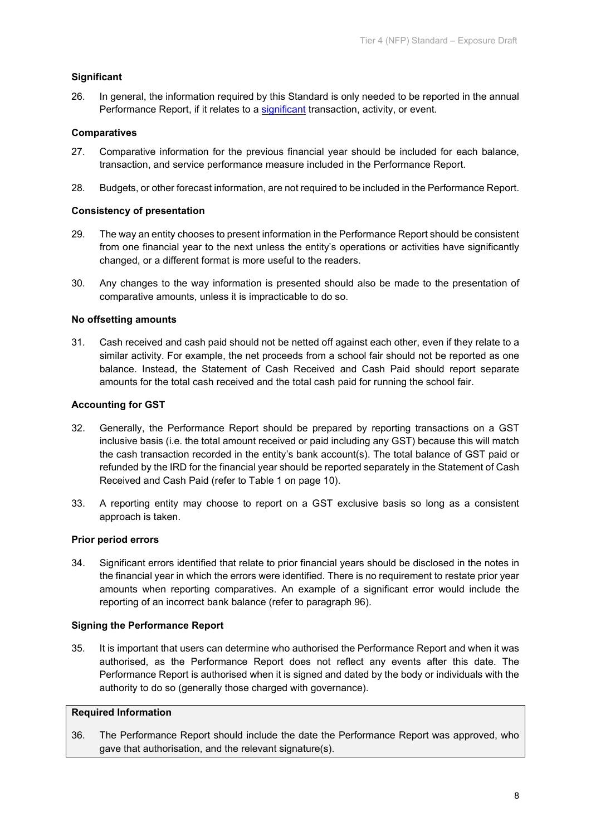## **Significant**

26. In general, the information required by this Standard is only needed to be reported in the annual Performance Report, if it relates to a [significant](#page-19-1) transaction, activity, or event.

## **Comparatives**

- 27. Comparative information for the previous financial year should be included for each balance, transaction, and service performance measure included in the Performance Report.
- 28. Budgets, or other forecast information, are not required to be included in the Performance Report.

## **Consistency of presentation**

- 29. The way an entity chooses to present information in the Performance Report should be consistent from one financial year to the next unless the entity's operations or activities have significantly changed, or a different format is more useful to the readers.
- 30. Any changes to the way information is presented should also be made to the presentation of comparative amounts, unless it is impracticable to do so.

## **No offsetting amounts**

31. Cash received and cash paid should not be netted off against each other, even if they relate to a similar activity. For example, the net proceeds from a school fair should not be reported as one balance. Instead, the Statement of Cash Received and Cash Paid should report separate amounts for the total cash received and the total cash paid for running the school fair.

## **Accounting for GST**

- 32. Generally, the Performance Report should be prepared by reporting transactions on a GST inclusive basis (i.e. the total amount received or paid including any GST) because this will match the cash transaction recorded in the entity's bank account(s). The total balance of GST paid or refunded by the IRD for the financial year should be reported separately in the Statement of Cash Received and Cash Paid (refer to Table 1 on page 10).
- 33. A reporting entity may choose to report on a GST exclusive basis so long as a consistent approach is taken.

## **Prior period errors**

34. Significant errors identified that relate to prior financial years should be disclosed in the notes in the financial year in which the errors were identified. There is no requirement to restate prior year amounts when reporting comparatives. An example of a significant error would include the reporting of an incorrect bank balance (refer to paragraph 96).

#### **Signing the Performance Report**

35. It is important that users can determine who authorised the Performance Report and when it was authorised, as the Performance Report does not reflect any events after this date. The Performance Report is authorised when it is signed and dated by the body or individuals with the authority to do so (generally those charged with governance).

#### **Required Information**

36. The Performance Report should include the date the Performance Report was approved, who gave that authorisation, and the relevant signature(s).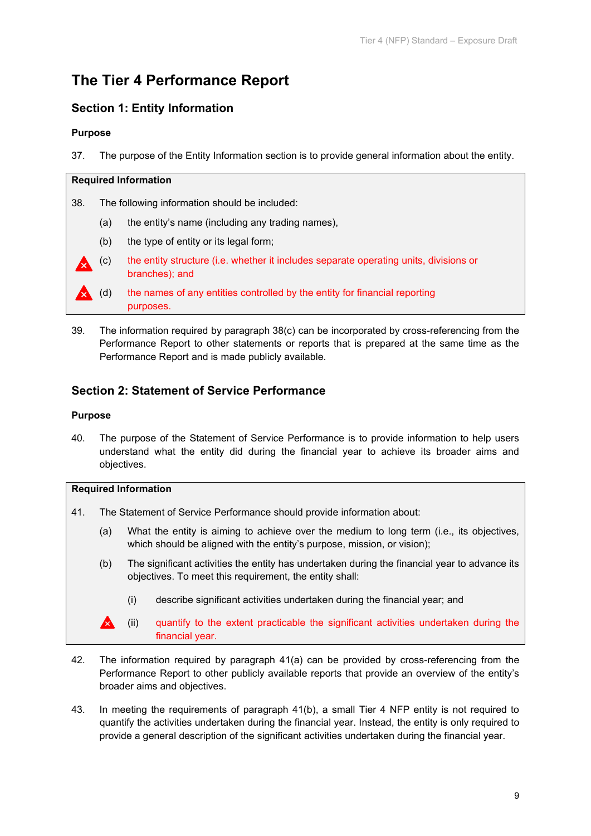# **The Tier 4 Performance Report**

## **Section 1: Entity Information**

## **Purpose**

37. The purpose of the Entity Information section is to provide general information about the entity.

## **Required Information**

38. The following information should be included:

- (a) the entity's name (including any trading names),
- (b) the type of entity or its legal form;
- (c) the entity structure (i.e. whether it includes separate operating units, divisions or branches); and

39. The information required by paragraph 38(c) can be incorporated by cross-referencing from the Performance Report to other statements or reports that is prepared at the same time as the Performance Report and is made publicly available.

## **Section 2: Statement of Service Performance**

## **Purpose**

40. The purpose of the Statement of Service Performance is to provide information to help users understand what the entity did during the financial year to achieve its broader aims and objectives.

## **Required Information**

- 41. The Statement of Service Performance should provide information about:
	- (a) What the entity is aiming to achieve over the medium to long term (i.e., its objectives, which should be aligned with the entity's purpose, mission, or vision);
	- (b) The significant activities the entity has undertaken during the financial year to advance its objectives. To meet this requirement, the entity shall:
		- (i) describe significant activities undertaken during the financial year; and
	- **(ii)** quantify to the extent practicable the significant activities undertaken during the financial year.
- 42. The information required by paragraph 41(a) can be provided by cross-referencing from the Performance Report to other publicly available reports that provide an overview of the entity's broader aims and objectives.
- 43. In meeting the requirements of paragraph 41(b), a small Tier 4 NFP entity is not required to quantify the activities undertaken during the financial year. Instead, the entity is only required to provide a general description of the significant activities undertaken during the financial year.

<sup>(</sup>d) the names of any entities controlled by the entity for financial reporting purposes.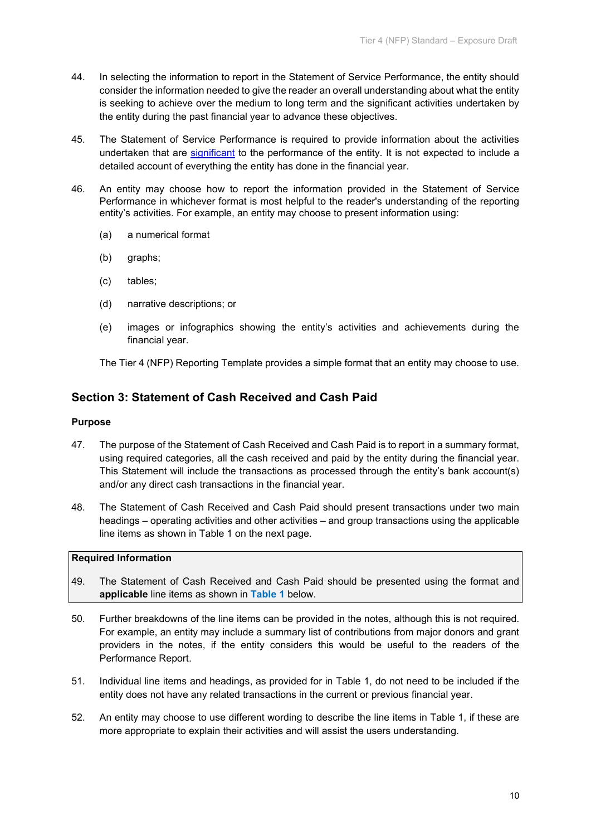- 44. In selecting the information to report in the Statement of Service Performance, the entity should consider the information needed to give the reader an overall understanding about what the entity is seeking to achieve over the medium to long term and the significant activities undertaken by the entity during the past financial year to advance these objectives.
- 45. The Statement of Service Performance is required to provide information about the activities undertaken that are [significant](#page-19-1) to the performance of the entity. It is not expected to include a detailed account of everything the entity has done in the financial year.
- 46. An entity may choose how to report the information provided in the Statement of Service Performance in whichever format is most helpful to the reader's understanding of the reporting entity's activities. For example, an entity may choose to present information using:
	- (a) a numerical format
	- (b) graphs;
	- (c) tables;
	- (d) narrative descriptions; or
	- (e) images or infographics showing the entity's activities and achievements during the financial year.

The Tier 4 (NFP) Reporting Template provides a simple format that an entity may choose to use.

## **Section 3: Statement of Cash Received and Cash Paid**

## **Purpose**

- 47. The purpose of the Statement of Cash Received and Cash Paid is to report in a summary format, using required categories, all the cash received and paid by the entity during the financial year. This Statement will include the transactions as processed through the entity's bank account(s) and/or any direct cash transactions in the financial year.
- 48. The Statement of Cash Received and Cash Paid should present transactions under two main headings – operating activities and other activities – and group transactions using the applicable line items as shown in Table 1 on the next page.

## **Required Information**

- 49. The Statement of Cash Received and Cash Paid should be presented using the format and **applicable** line items as shown in **Table 1** below.
- 50. Further breakdowns of the line items can be provided in the notes, although this is not required. For example, an entity may include a summary list of contributions from major donors and grant providers in the notes, if the entity considers this would be useful to the readers of the Performance Report.
- 51. Individual line items and headings, as provided for in Table 1, do not need to be included if the entity does not have any related transactions in the current or previous financial year.
- 52. An entity may choose to use different wording to describe the line items in Table 1, if these are more appropriate to explain their activities and will assist the users understanding.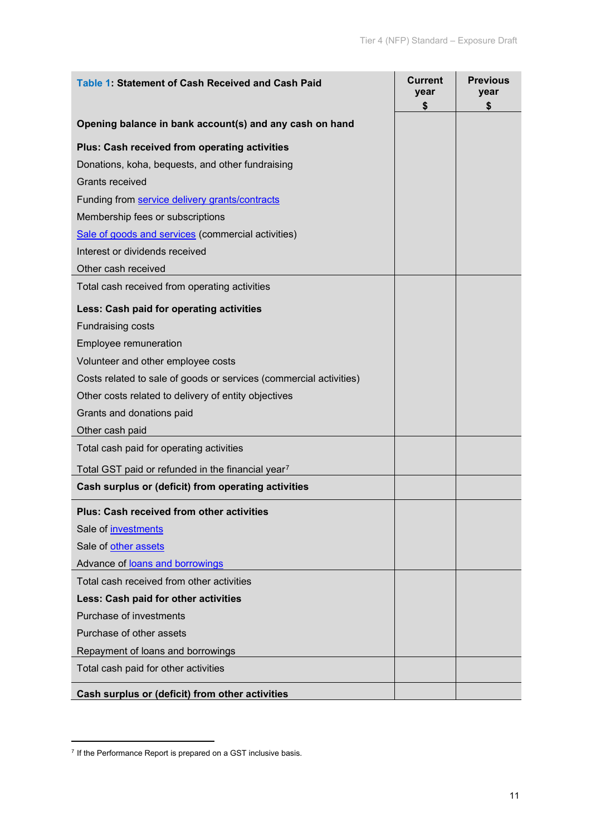| Table 1: Statement of Cash Received and Cash Paid                  | <b>Current</b><br>year<br>\$ | <b>Previous</b><br>year |
|--------------------------------------------------------------------|------------------------------|-------------------------|
| Opening balance in bank account(s) and any cash on hand            |                              | \$                      |
| Plus: Cash received from operating activities                      |                              |                         |
| Donations, koha, bequests, and other fundraising                   |                              |                         |
| <b>Grants received</b>                                             |                              |                         |
| Funding from service delivery grants/contracts                     |                              |                         |
| Membership fees or subscriptions                                   |                              |                         |
| Sale of goods and services (commercial activities)                 |                              |                         |
| Interest or dividends received                                     |                              |                         |
| Other cash received                                                |                              |                         |
| Total cash received from operating activities                      |                              |                         |
| Less: Cash paid for operating activities                           |                              |                         |
| <b>Fundraising costs</b>                                           |                              |                         |
| Employee remuneration                                              |                              |                         |
| Volunteer and other employee costs                                 |                              |                         |
| Costs related to sale of goods or services (commercial activities) |                              |                         |
| Other costs related to delivery of entity objectives               |                              |                         |
| Grants and donations paid                                          |                              |                         |
| Other cash paid                                                    |                              |                         |
| Total cash paid for operating activities                           |                              |                         |
| Total GST paid or refunded in the financial year7                  |                              |                         |
| Cash surplus or (deficit) from operating activities                |                              |                         |
| <b>Plus: Cash received from other activities</b>                   |                              |                         |
| Sale of investments                                                |                              |                         |
| Sale of other assets                                               |                              |                         |
| Advance of loans and borrowings                                    |                              |                         |
| Total cash received from other activities                          |                              |                         |
| Less: Cash paid for other activities                               |                              |                         |
| Purchase of investments                                            |                              |                         |
| Purchase of other assets                                           |                              |                         |
| Repayment of loans and borrowings                                  |                              |                         |
| Total cash paid for other activities                               |                              |                         |
| Cash surplus or (deficit) from other activities                    |                              |                         |

<span id="page-10-0"></span> $7$  If the Performance Report is prepared on a GST inclusive basis.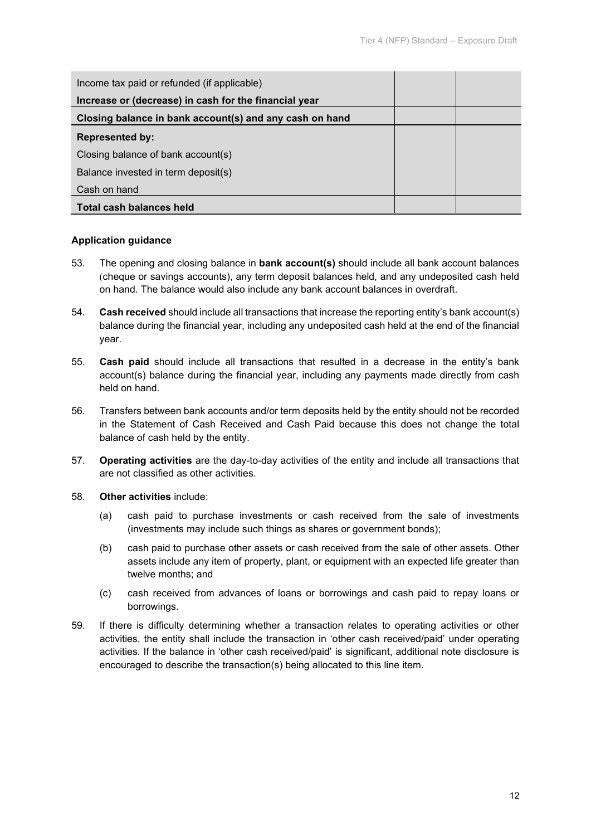| Income tax paid or refunded (if applicable)             |  |
|---------------------------------------------------------|--|
| Increase or (decrease) in cash for the financial year   |  |
| Closing balance in bank account(s) and any cash on hand |  |
| <b>Represented by:</b>                                  |  |
| Closing balance of bank account(s)                      |  |
| Balance invested in term deposit(s)                     |  |
| Cash on hand                                            |  |
| Total cash balances held                                |  |

## **Application guidance**

- 53. The opening and closing balance in **bank account(s)** should include all bank account balances (cheque or savings accounts), any term deposit balances held, and any undeposited cash held on hand. The balance would also include any bank account balances in overdraft.
- 54. **Cash received** should include all transactions that increase the reporting entity's bank account(s) balance during the financial year, including any undeposited cash held at the end of the financial year.
- 55. **Cash paid** should include all transactions that resulted in a decrease in the entity's bank account(s) balance during the financial year, including any payments made directly from cash held on hand.
- 56. Transfers between bank accounts and/or term deposits held by the entity should not be recorded in the Statement of Cash Received and Cash Paid because this does not change the total balance of cash held by the entity.
- 57. **Operating activities** are the day-to-day activities of the entity and include all transactions that are not classified as other activities.
- 58. **Other activities** include:
	- (a) cash paid to purchase investments or cash received from the sale of investments (investments may include such things as shares or government bonds);
	- (b) cash paid to purchase other assets or cash received from the sale of other assets. Other assets include any item of property, plant, or equipment with an expected life greater than twelve months; and
	- (c) cash received from advances of loans or borrowings and cash paid to repay loans or borrowings.
- 59. If there is difficulty determining whether a transaction relates to operating activities or other activities, the entity shall include the transaction in 'other cash received/paid' under operating activities. If the balance in 'other cash received/paid' is significant, additional note disclosure is encouraged to describe the transaction(s) being allocated to this line item.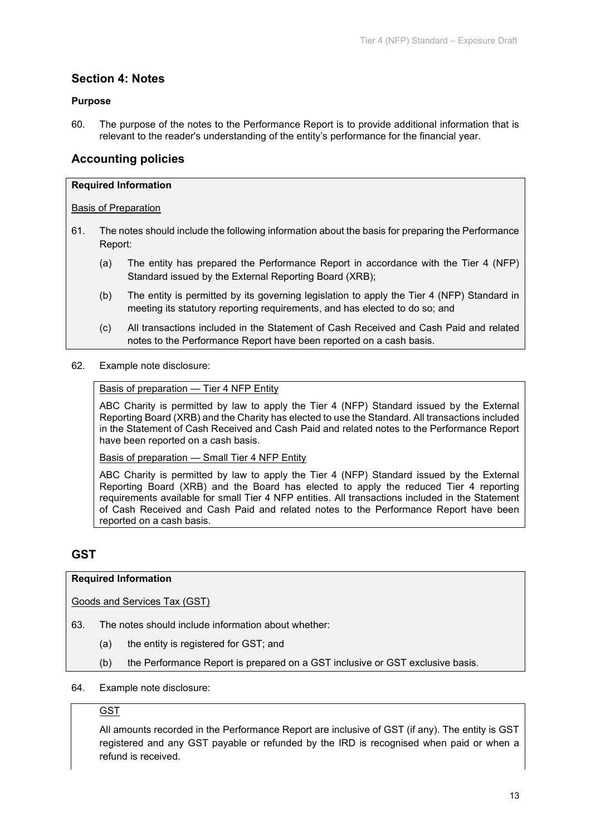## **Section 4: Notes**

## **Purpose**

60. The purpose of the notes to the Performance Report is to provide additional information that is relevant to the reader's understanding of the entity's performance for the financial year.

## **Accounting policies**

#### **Required Information**

#### Basis of Preparation

- 61. The notes should include the following information about the basis for preparing the Performance Report:
	- (a) The entity has prepared the Performance Report in accordance with the Tier 4 (NFP) Standard issued by the External Reporting Board (XRB);
	- (b) The entity is permitted by its governing legislation to apply the Tier 4 (NFP) Standard in meeting its statutory reporting requirements, and has elected to do so; and
	- (c) All transactions included in the Statement of Cash Received and Cash Paid and related notes to the Performance Report have been reported on a cash basis.

#### 62. Example note disclosure:

## Basis of preparation — Tier 4 NFP Entity

ABC Charity is permitted by law to apply the Tier 4 (NFP) Standard issued by the External Reporting Board (XRB) and the Charity has elected to use the Standard. All transactions included in the Statement of Cash Received and Cash Paid and related notes to the Performance Report have been reported on a cash basis.

Basis of preparation — Small Tier 4 NFP Entity

ABC Charity is permitted by law to apply the Tier 4 (NFP) Standard issued by the External Reporting Board (XRB) and the Board has elected to apply the reduced Tier 4 reporting requirements available for small Tier 4 NFP entities. All transactions included in the Statement of Cash Received and Cash Paid and related notes to the Performance Report have been reported on a cash basis.

## **GST**

## **Required Information**

Goods and Services Tax (GST)

- 63. The notes should include information about whether:
	- (a) the entity is registered for GST; and
	- (b) the Performance Report is prepared on a GST inclusive or GST exclusive basis.
- 64. Example note disclosure:

## **GST**

All amounts recorded in the Performance Report are inclusive of GST (if any). The entity is GST registered and any GST payable or refunded by the IRD is recognised when paid or when a refund is received.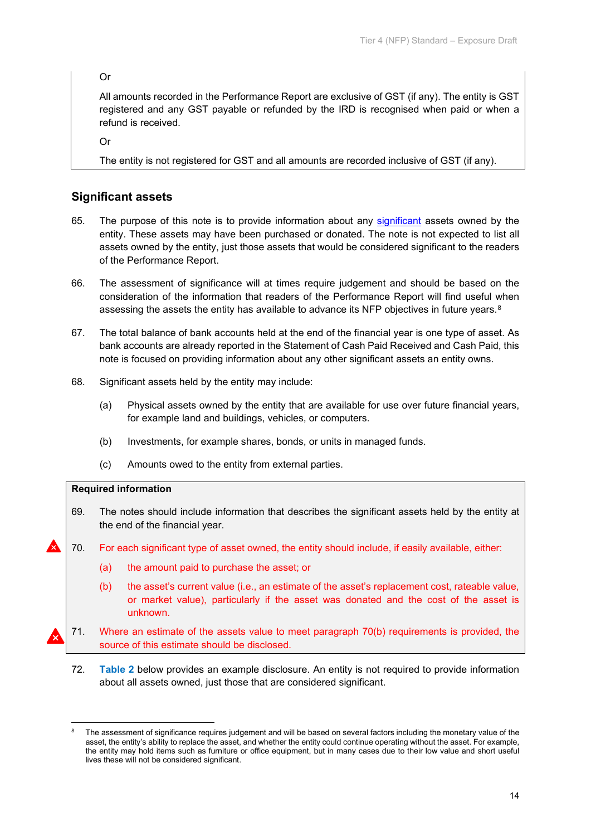Or

All amounts recorded in the Performance Report are exclusive of GST (if any). The entity is GST registered and any GST payable or refunded by the IRD is recognised when paid or when a refund is received.

Or

The entity is not registered for GST and all amounts are recorded inclusive of GST (if any).

## **Significant assets**

- 65. The purpose of this note is to provide information about any [significant](#page-19-1) assets owned by the entity. These assets may have been purchased or donated. The note is not expected to list all assets owned by the entity, just those assets that would be considered significant to the readers of the Performance Report.
- 66. The assessment of significance will at times require judgement and should be based on the consideration of the information that readers of the Performance Report will find useful when assessing the assets the entity has available to advance its NFP objectives in future years.<sup>[8](#page-13-0)</sup>
- 67. The total balance of bank accounts held at the end of the financial year is one type of asset. As bank accounts are already reported in the Statement of Cash Paid Received and Cash Paid, this note is focused on providing information about any other significant assets an entity owns.
- 68. Significant assets held by the entity may include:
	- (a) Physical assets owned by the entity that are available for use over future financial years, for example land and buildings, vehicles, or computers.
	- (b) Investments, for example shares, bonds, or units in managed funds.
	- (c) Amounts owed to the entity from external parties.

#### **Required information**

- 69. The notes should include information that describes the significant assets held by the entity at the end of the financial year.
- 70. For each significant type of asset owned, the entity should include, if easily available, either:
	- (a) the amount paid to purchase the asset; or
	- (b) the asset's current value (i.e., an estimate of the asset's replacement cost, rateable value, or market value), particularly if the asset was donated and the cost of the asset is unknown.
	- 71. Where an estimate of the assets value to meet paragraph 70(b) requirements is provided, the source of this estimate should be disclosed.
		- 72. **Table 2** below provides an example disclosure. An entity is not required to provide information about all assets owned, just those that are considered significant.

<span id="page-13-0"></span><sup>8</sup> The assessment of significance requires judgement and will be based on several factors including the monetary value of the asset, the entity's ability to replace the asset, and whether the entity could continue operating without the asset. For example, the entity may hold items such as furniture or office equipment, but in many cases due to their low value and short useful lives these will not be considered significant.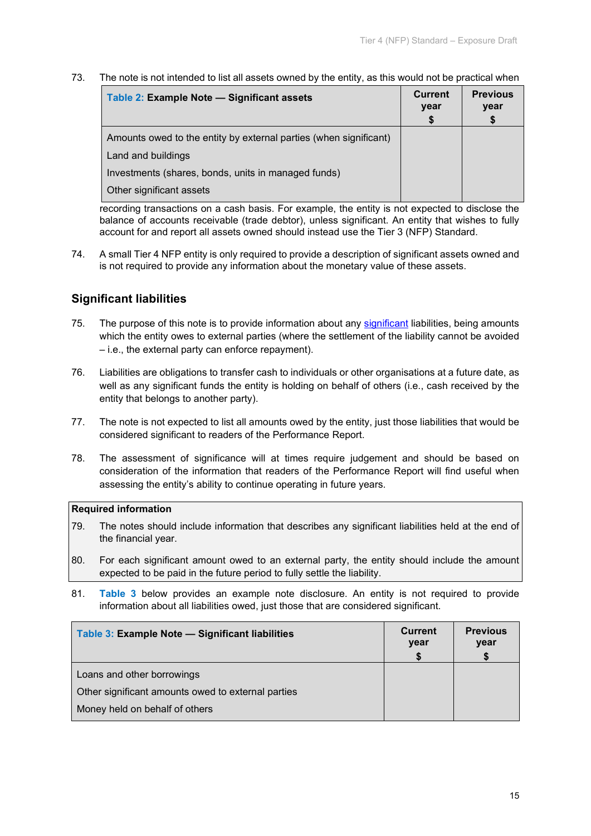73. The note is not intended to list all assets owned by the entity, as this would not be practical when

| Table 2: Example Note - Significant assets                        | <b>Current</b><br>year<br>S | <b>Previous</b><br>year |
|-------------------------------------------------------------------|-----------------------------|-------------------------|
| Amounts owed to the entity by external parties (when significant) |                             |                         |
| Land and buildings                                                |                             |                         |
| Investments (shares, bonds, units in managed funds)               |                             |                         |
| Other significant assets                                          |                             |                         |

recording transactions on a cash basis. For example, the entity is not expected to disclose the balance of accounts receivable (trade debtor), unless significant. An entity that wishes to fully account for and report all assets owned should instead use the Tier 3 (NFP) Standard.

74. A small Tier 4 NFP entity is only required to provide a description of significant assets owned and is not required to provide any information about the monetary value of these assets.

## **Significant liabilities**

- 75. The purpose of this note is to provide information about any [significant](#page-19-1) liabilities, being amounts which the entity owes to external parties (where the settlement of the liability cannot be avoided – i.e., the external party can enforce repayment).
- 76. Liabilities are obligations to transfer cash to individuals or other organisations at a future date, as well as any significant funds the entity is holding on behalf of others (i.e., cash received by the entity that belongs to another party).
- 77. The note is not expected to list all amounts owed by the entity, just those liabilities that would be considered significant to readers of the Performance Report.
- 78. The assessment of significance will at times require judgement and should be based on consideration of the information that readers of the Performance Report will find useful when assessing the entity's ability to continue operating in future years.

## **Required information**

- 79. The notes should include information that describes any significant liabilities held at the end of the financial year.
- 80. For each significant amount owed to an external party, the entity should include the amount expected to be paid in the future period to fully settle the liability.
- 81. **Table 3** below provides an example note disclosure. An entity is not required to provide information about all liabilities owed, just those that are considered significant.

| Table 3: Example Note - Significant liabilities    | <b>Current</b><br>year | <b>Previous</b><br>year |
|----------------------------------------------------|------------------------|-------------------------|
| Loans and other borrowings                         |                        |                         |
| Other significant amounts owed to external parties |                        |                         |
| Money held on behalf of others                     |                        |                         |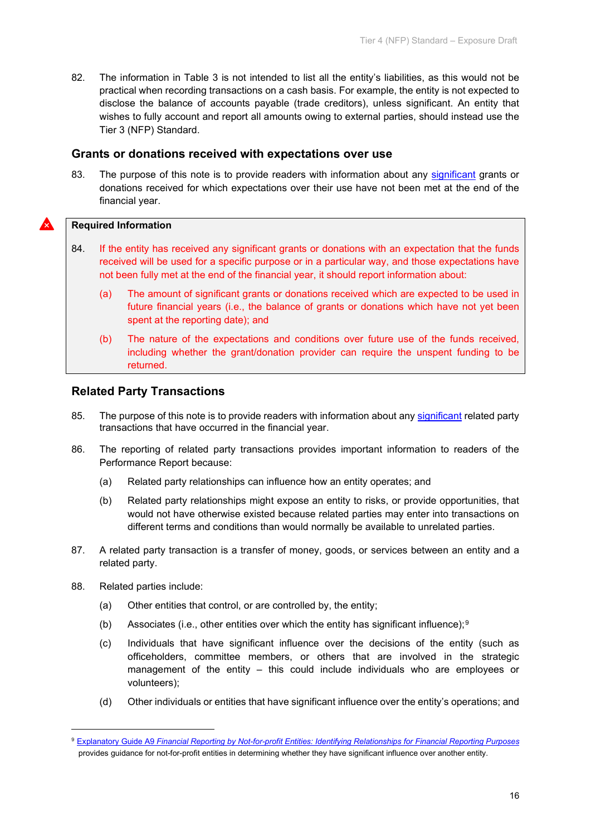82. The information in Table 3 is not intended to list all the entity's liabilities, as this would not be practical when recording transactions on a cash basis. For example, the entity is not expected to disclose the balance of accounts payable (trade creditors), unless significant. An entity that wishes to fully account and report all amounts owing to external parties, should instead use the Tier 3 (NFP) Standard.

## **Grants or donations received with expectations over use**

83. The purpose of this note is to provide readers with information about any [significant](#page-19-1) grants or donations received for which expectations over their use have not been met at the end of the financial year.

#### **Required Information**

- 84. If the entity has received any significant grants or donations with an expectation that the funds received will be used for a specific purpose or in a particular way, and those expectations have not been fully met at the end of the financial year, it should report information about:
	- (a) The amount of significant grants or donations received which are expected to be used in future financial years (i.e., the balance of grants or donations which have not yet been spent at the reporting date); and
	- (b) The nature of the expectations and conditions over future use of the funds received, including whether the grant/donation provider can require the unspent funding to be returned.

## **Related Party Transactions**

- 85. The purpose of this note is to provide readers with information about any [significant](#page-19-1) related party transactions that have occurred in the financial year.
- 86. The reporting of related party transactions provides important information to readers of the Performance Report because:
	- (a) Related party relationships can influence how an entity operates; and
	- (b) Related party relationships might expose an entity to risks, or provide opportunities, that would not have otherwise existed because related parties may enter into transactions on different terms and conditions than would normally be available to unrelated parties.
- 87. A related party transaction is a transfer of money, goods, or services between an entity and a related party.
- 88. Related parties include:
	- (a) Other entities that control, or are controlled by, the entity;
	- (b) Associates (i.e., other entities over which the entity has significant influence);<sup>[9](#page-15-0)</sup>
	- (c) Individuals that have significant influence over the decisions of the entity (such as officeholders, committee members, or others that are involved in the strategic management of the entity – this could include individuals who are employees or volunteers);
	- (d) Other individuals or entities that have significant influence over the entity's operations; and

<span id="page-15-0"></span><sup>9</sup> Explanatory Guide A9 *[Financial Reporting by Not-for-profit Entities: Identifying Relationships for Financial Reporting Purposes](https://www.xrb.govt.nz/accounting-standards/not-for-profit/pbe-sfr-c-nfp/)* provides guidance for not-for-profit entities in determining whether they have significant influence over another entity.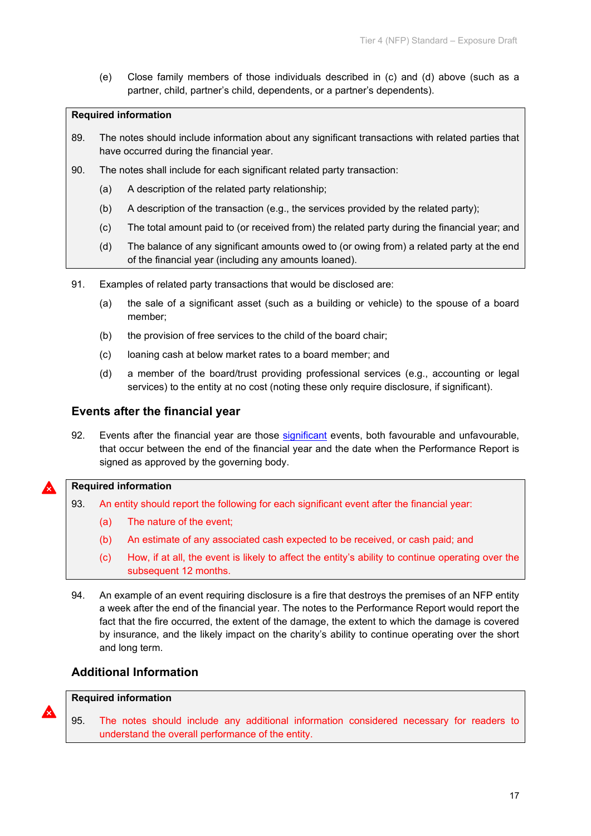(e) Close family members of those individuals described in (c) and (d) above (such as a partner, child, partner's child, dependents, or a partner's dependents).

## **Required information**

- 89. The notes should include information about any significant transactions with related parties that have occurred during the financial year.
- 90. The notes shall include for each significant related party transaction:
	- (a) A description of the related party relationship;
	- (b) A description of the transaction (e.g., the services provided by the related party);
	- (c) The total amount paid to (or received from) the related party during the financial year; and
	- (d) The balance of any significant amounts owed to (or owing from) a related party at the end of the financial year (including any amounts loaned).
- 91. Examples of related party transactions that would be disclosed are:
	- (a) the sale of a significant asset (such as a building or vehicle) to the spouse of a board member;
	- (b) the provision of free services to the child of the board chair;
	- (c) loaning cash at below market rates to a board member; and
	- (d) a member of the board/trust providing professional services (e.g., accounting or legal services) to the entity at no cost (noting these only require disclosure, if significant).

## **Events after the financial year**

92. Events after the financial year are those [significant](#page-19-1) events, both favourable and unfavourable, that occur between the end of the financial year and the date when the Performance Report is signed as approved by the governing body.

## **Required information**

- 93. An entity should report the following for each significant event after the financial year:
	- (a) The nature of the event;
	- (b) An estimate of any associated cash expected to be received, or cash paid; and
	- (c) How, if at all, the event is likely to affect the entity's ability to continue operating over the subsequent 12 months.
- 94. An example of an event requiring disclosure is a fire that destroys the premises of an NFP entity a week after the end of the financial year. The notes to the Performance Report would report the fact that the fire occurred, the extent of the damage, the extent to which the damage is covered by insurance, and the likely impact on the charity's ability to continue operating over the short and long term.

## **Additional Information**

#### **Required information**

95. The notes should include any additional information considered necessary for readers to understand the overall performance of the entity.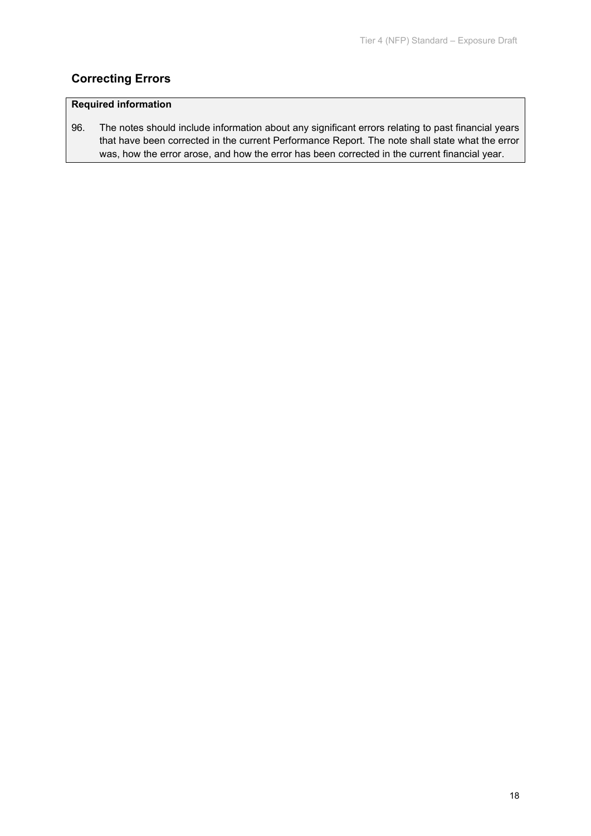## **Correcting Errors**

## **Required information**

96. The notes should include information about any significant errors relating to past financial years that have been corrected in the current Performance Report. The note shall state what the error was, how the error arose, and how the error has been corrected in the current financial year.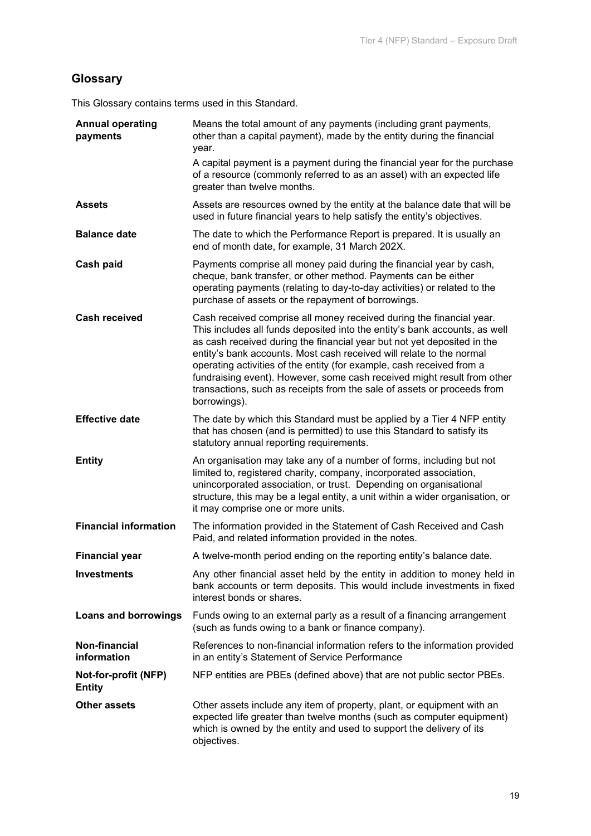# <span id="page-18-2"></span>**Glossary**

This Glossary contains terms used in this Standard.

<span id="page-18-5"></span><span id="page-18-4"></span><span id="page-18-3"></span><span id="page-18-1"></span><span id="page-18-0"></span>

| <b>Annual operating</b><br>payments   | Means the total amount of any payments (including grant payments,<br>other than a capital payment), made by the entity during the financial<br>year.                                                                                                                                                                                                                                                                                                                                                                                                 |
|---------------------------------------|------------------------------------------------------------------------------------------------------------------------------------------------------------------------------------------------------------------------------------------------------------------------------------------------------------------------------------------------------------------------------------------------------------------------------------------------------------------------------------------------------------------------------------------------------|
|                                       | A capital payment is a payment during the financial year for the purchase<br>of a resource (commonly referred to as an asset) with an expected life<br>greater than twelve months.                                                                                                                                                                                                                                                                                                                                                                   |
| <b>Assets</b>                         | Assets are resources owned by the entity at the balance date that will be<br>used in future financial years to help satisfy the entity's objectives.                                                                                                                                                                                                                                                                                                                                                                                                 |
| <b>Balance date</b>                   | The date to which the Performance Report is prepared. It is usually an<br>end of month date, for example, 31 March 202X.                                                                                                                                                                                                                                                                                                                                                                                                                             |
| Cash paid                             | Payments comprise all money paid during the financial year by cash,<br>cheque, bank transfer, or other method. Payments can be either<br>operating payments (relating to day-to-day activities) or related to the<br>purchase of assets or the repayment of borrowings.                                                                                                                                                                                                                                                                              |
| <b>Cash received</b>                  | Cash received comprise all money received during the financial year.<br>This includes all funds deposited into the entity's bank accounts, as well<br>as cash received during the financial year but not yet deposited in the<br>entity's bank accounts. Most cash received will relate to the normal<br>operating activities of the entity (for example, cash received from a<br>fundraising event). However, some cash received might result from other<br>transactions, such as receipts from the sale of assets or proceeds from<br>borrowings). |
| <b>Effective date</b>                 | The date by which this Standard must be applied by a Tier 4 NFP entity<br>that has chosen (and is permitted) to use this Standard to satisfy its<br>statutory annual reporting requirements.                                                                                                                                                                                                                                                                                                                                                         |
| <b>Entity</b>                         | An organisation may take any of a number of forms, including but not<br>limited to, registered charity, company, incorporated association,<br>unincorporated association, or trust. Depending on organisational<br>structure, this may be a legal entity, a unit within a wider organisation, or<br>it may comprise one or more units.                                                                                                                                                                                                               |
| <b>Financial information</b>          | The information provided in the Statement of Cash Received and Cash<br>Paid, and related information provided in the notes.                                                                                                                                                                                                                                                                                                                                                                                                                          |
| <b>Financial year</b>                 | A twelve-month period ending on the reporting entity's balance date.                                                                                                                                                                                                                                                                                                                                                                                                                                                                                 |
| <b>Investments</b>                    | Any other financial asset held by the entity in addition to money held in<br>bank accounts or term deposits. This would include investments in fixed<br>interest bonds or shares.                                                                                                                                                                                                                                                                                                                                                                    |
| <b>Loans and borrowings</b>           | Funds owing to an external party as a result of a financing arrangement<br>(such as funds owing to a bank or finance company).                                                                                                                                                                                                                                                                                                                                                                                                                       |
| Non-financial<br>information          | References to non-financial information refers to the information provided<br>in an entity's Statement of Service Performance                                                                                                                                                                                                                                                                                                                                                                                                                        |
| Not-for-profit (NFP)<br><b>Entity</b> | NFP entities are PBEs (defined above) that are not public sector PBEs.                                                                                                                                                                                                                                                                                                                                                                                                                                                                               |
| <b>Other assets</b>                   | Other assets include any item of property, plant, or equipment with an<br>expected life greater than twelve months (such as computer equipment)<br>which is owned by the entity and used to support the delivery of its<br>objectives.                                                                                                                                                                                                                                                                                                               |